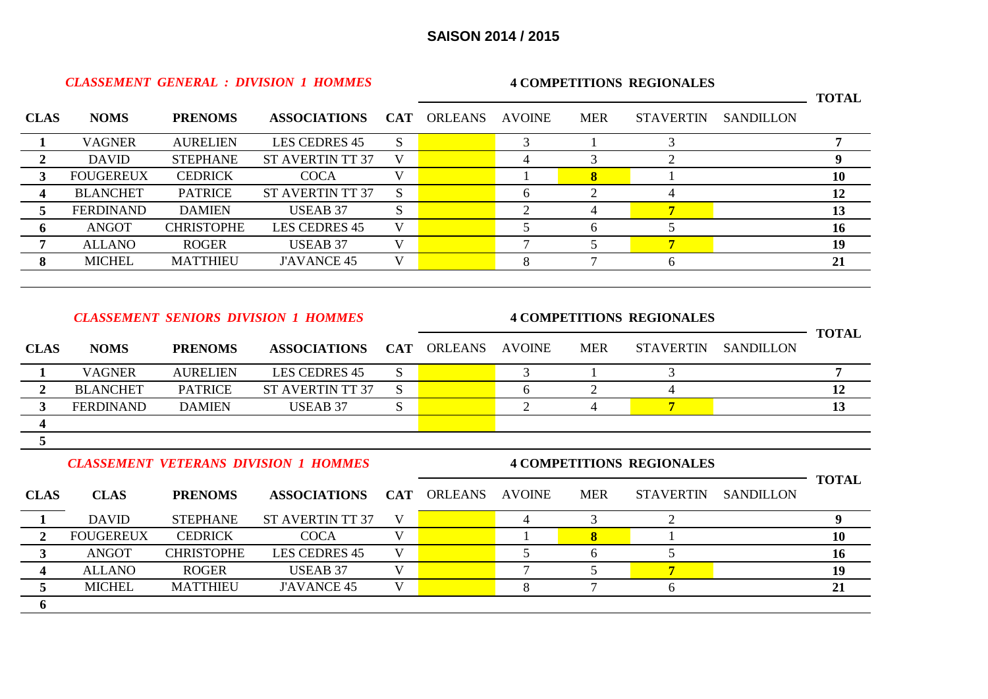*CLASSEMENT GENERAL : DIVISION 1 HOMMES*

**6**

**4 COMPETITIONS REGIONALES**

|                         |                  |                   |                                              |                         |                                  |                |                |                                  |                  | <b>TOTAL</b>   |  |
|-------------------------|------------------|-------------------|----------------------------------------------|-------------------------|----------------------------------|----------------|----------------|----------------------------------|------------------|----------------|--|
| <b>CLAS</b>             | <b>NOMS</b>      | <b>PRENOMS</b>    | <b>ASSOCIATIONS</b>                          | <b>CAT</b>              | <b>ORLEANS</b>                   | <b>AVOINE</b>  | <b>MER</b>     | <b>STAVERTIN</b>                 | <b>SANDILLON</b> |                |  |
| $\mathbf{1}$            | <b>VAGNER</b>    | <b>AURELIEN</b>   | <b>LES CEDRES 45</b>                         | <sub>S</sub>            |                                  | 3              |                | 3                                |                  | $\overline{7}$ |  |
| $\overline{2}$          | <b>DAVID</b>     | <b>STEPHANE</b>   | <b>ST AVERTIN TT 37</b>                      | V                       |                                  | $\overline{4}$ | 3              | $\overline{2}$                   |                  | 9              |  |
| 3                       | <b>FOUGEREUX</b> | <b>CEDRICK</b>    | <b>COCA</b>                                  | V                       |                                  |                | $\bf{8}$       |                                  |                  | <b>10</b>      |  |
| $\overline{\mathbf{4}}$ | <b>BLANCHET</b>  | <b>PATRICE</b>    | <b>ST AVERTIN TT 37</b>                      | S                       |                                  | 6              | $\overline{2}$ | $\overline{4}$                   |                  | 12             |  |
| 5                       | <b>FERDINAND</b> | <b>DAMIEN</b>     | <b>USEAB 37</b>                              | S                       |                                  | $\overline{2}$ | $\overline{4}$ | $\overline{7}$                   |                  | 13             |  |
| 6                       | <b>ANGOT</b>     | <b>CHRISTOPHE</b> | <b>LES CEDRES 45</b>                         | $\overline{\mathbf{V}}$ |                                  | 5              | 6              | 5                                |                  | 16             |  |
| $\overline{7}$          | <b>ALLANO</b>    | <b>ROGER</b>      | <b>USEAB 37</b>                              | V                       |                                  | 7              | 5              | $\overline{7}$                   |                  | 19             |  |
| 8                       | <b>MICHEL</b>    | <b>MATTHIEU</b>   | <b>J'AVANCE 45</b>                           | V                       |                                  | 8              | $\overline{7}$ | 6                                |                  | 21             |  |
|                         |                  |                   |                                              |                         |                                  |                |                |                                  |                  |                |  |
|                         |                  |                   | <b>CLASSEMENT SENIORS DIVISION 1 HOMMES</b>  |                         | <b>4 COMPETITIONS REGIONALES</b> |                |                |                                  |                  |                |  |
| <b>CLAS</b>             | <b>NOMS</b>      | <b>PRENOMS</b>    | <b>ASSOCIATIONS</b>                          | <b>CAT</b>              | <b>ORLEANS</b>                   | <b>AVOINE</b>  | <b>MER</b>     | <b>STAVERTIN</b>                 | <b>SANDILLON</b> | <b>TOTAL</b>   |  |
| 1                       | <b>VAGNER</b>    | <b>AURELIEN</b>   | <b>LES CEDRES 45</b>                         | <sub>S</sub>            |                                  | 3              |                | 3                                |                  | $\overline{7}$ |  |
| $\overline{2}$          | <b>BLANCHET</b>  | <b>PATRICE</b>    | <b>ST AVERTIN TT 37</b>                      | S                       |                                  | 6              | $\overline{2}$ | $\overline{4}$                   |                  | 12             |  |
| $\mathbf{3}$            | <b>FERDINAND</b> | <b>DAMIEN</b>     | <b>USEAB 37</b>                              | S                       |                                  | $\overline{2}$ | 4              | $\overline{7}$                   |                  | 13             |  |
| $\overline{\mathbf{4}}$ |                  |                   |                                              |                         |                                  |                |                |                                  |                  |                |  |
| 5                       |                  |                   |                                              |                         |                                  |                |                |                                  |                  |                |  |
|                         |                  |                   | <b>CLASSEMENT VETERANS DIVISION 1 HOMMES</b> |                         |                                  |                |                | <b>4 COMPETITIONS REGIONALES</b> |                  | <b>TOTAL</b>   |  |
| <b>CLAS</b>             | <b>CLAS</b>      | <b>PRENOMS</b>    | <b>ASSOCIATIONS</b>                          | <b>CAT</b>              | <b>ORLEANS</b>                   | <b>AVOINE</b>  | <b>MER</b>     | <b>STAVERTIN</b>                 | <b>SANDILLON</b> |                |  |
| 1                       | <b>DAVID</b>     | <b>STEPHANE</b>   | <b>ST AVERTIN TT 37</b>                      | V                       |                                  | $\overline{4}$ | 3              | $\overline{2}$                   |                  | 9              |  |
| 2                       | <b>FOUGEREUX</b> | <b>CEDRICK</b>    | <b>COCA</b>                                  | V                       |                                  |                | $\bf{8}$       |                                  |                  | <b>10</b>      |  |
| $\mathbf{3}$            | <b>ANGOT</b>     | <b>CHRISTOPHE</b> | <b>LES CEDRES 45</b>                         | $\mathbf V$             |                                  | 5              | 6              | 5                                |                  | 16             |  |
| 4                       | <b>ALLANO</b>    | <b>ROGER</b>      | <b>USEAB 37</b>                              | $\mathbf{V}$            |                                  | $\overline{7}$ | 5              | $\overline{7}$                   |                  | 19             |  |

**5** MICHEL MATTHIEU J'AVANCE 45 V 8 7 6 **21**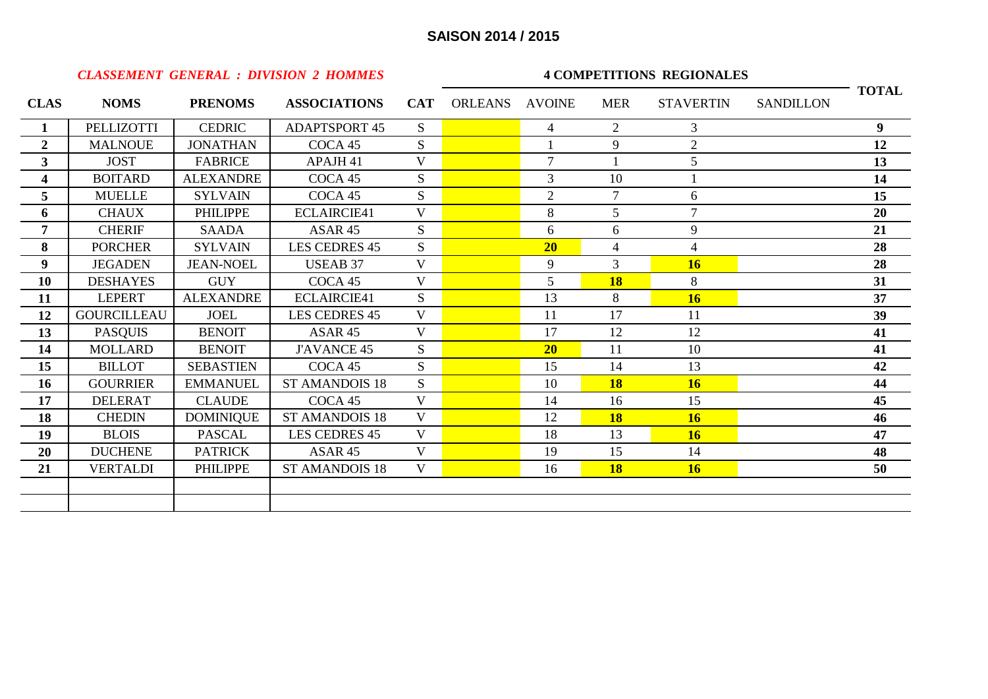|                         |                    |                  | <b>CLASSEMENT GENERAL : DIVISION 2 HOMMES</b> |                         | <b>4 COMPETITIONS REGIONALES</b> |                |                |                  |                  |              |  |  |
|-------------------------|--------------------|------------------|-----------------------------------------------|-------------------------|----------------------------------|----------------|----------------|------------------|------------------|--------------|--|--|
| <b>CLAS</b>             | <b>NOMS</b>        | <b>PRENOMS</b>   | <b>ASSOCIATIONS</b>                           |                         | CAT ORLEANS AVOINE               |                | <b>MER</b>     | <b>STAVERTIN</b> | <b>SANDILLON</b> | <b>TOTAL</b> |  |  |
| $\mathbf{1}$            | PELLIZOTTI         | <b>CEDRIC</b>    | <b>ADAPTSPORT 45</b>                          | <sub>S</sub>            |                                  | $\overline{4}$ | $\overline{2}$ | 3                |                  | 9            |  |  |
| $\mathbf{2}$            | <b>MALNOUE</b>     | <b>JONATHAN</b>  | COCA 45                                       | S                       |                                  |                | 9              | $\overline{2}$   |                  | 12           |  |  |
| $\overline{\mathbf{3}}$ | <b>JOST</b>        | <b>FABRICE</b>   | APAJH <sub>41</sub>                           | $\mathbf{V}$            |                                  | $\overline{7}$ |                | 5                |                  | 13           |  |  |
| 4                       | <b>BOITARD</b>     | <b>ALEXANDRE</b> | COCA 45                                       | S                       |                                  | 3              | 10             |                  |                  | 14           |  |  |
| 5                       | <b>MUELLE</b>      | <b>SYLVAIN</b>   | COCA 45                                       | S                       |                                  | $\overline{2}$ | $\tau$         | 6                |                  | 15           |  |  |
| 6                       | <b>CHAUX</b>       | <b>PHILIPPE</b>  | <b>ECLAIRCIE41</b>                            | $\overline{\mathbf{V}}$ |                                  | 8              | 5              | $\overline{7}$   |                  | 20           |  |  |
| $\overline{7}$          | <b>CHERIF</b>      | <b>SAADA</b>     | ASAR 45                                       | S                       |                                  | 6              | 6              | 9                |                  | 21           |  |  |
| 8                       | <b>PORCHER</b>     | <b>SYLVAIN</b>   | LES CEDRES 45                                 | S                       |                                  | 20             | $\overline{4}$ | $\overline{4}$   |                  | 28           |  |  |
| 9 <sup>°</sup>          | <b>JEGADEN</b>     | <b>JEAN-NOEL</b> | <b>USEAB 37</b>                               | V                       |                                  | 9              | $\overline{3}$ | 16               |                  | 28           |  |  |
| 10                      | <b>DESHAYES</b>    | <b>GUY</b>       | COCA 45                                       | V                       |                                  | $\mathfrak{S}$ | <b>18</b>      | 8                |                  | 31           |  |  |
| 11                      | <b>LEPERT</b>      | <b>ALEXANDRE</b> | <b>ECLAIRCIE41</b>                            | S                       |                                  | 13             | 8              | 16               |                  | 37           |  |  |
| 12                      | <b>GOURCILLEAU</b> | <b>JOEL</b>      | <b>LES CEDRES 45</b>                          | V                       |                                  | 11             | 17             | 11               |                  | 39           |  |  |
| 13                      | <b>PASQUIS</b>     | <b>BENOIT</b>    | ASAR 45                                       | V                       |                                  | 17             | 12             | 12               |                  | 41           |  |  |
| 14                      | <b>MOLLARD</b>     | <b>BENOIT</b>    | <b>J'AVANCE 45</b>                            | S                       |                                  | 20             | 11             | 10               |                  | 41           |  |  |
| 15                      | <b>BILLOT</b>      | <b>SEBASTIEN</b> | COCA 45                                       | S                       |                                  | 15             | 14             | 13               |                  | 42           |  |  |
| 16                      | <b>GOURRIER</b>    | <b>EMMANUEL</b>  | <b>ST AMANDOIS 18</b>                         | S                       |                                  | 10             | <b>18</b>      | 16               |                  | 44           |  |  |
| 17                      | <b>DELERAT</b>     | <b>CLAUDE</b>    | COCA 45                                       | V                       |                                  | 14             | 16             | 15               |                  | 45           |  |  |
| 18                      | <b>CHEDIN</b>      | <b>DOMINIQUE</b> | <b>ST AMANDOIS 18</b>                         | $\mathbf{V}$            |                                  | 12             | <b>18</b>      | 16               |                  | 46           |  |  |
| 19                      | <b>BLOIS</b>       | <b>PASCAL</b>    | <b>LES CEDRES 45</b>                          | V                       |                                  | 18             | 13             | 16               |                  | 47           |  |  |
| 20                      | <b>DUCHENE</b>     | <b>PATRICK</b>   | ASAR 45                                       | V                       |                                  | 19             | 15             | 14               |                  | 48           |  |  |
| 21                      | <b>VERTALDI</b>    | <b>PHILIPPE</b>  | <b>ST AMANDOIS 18</b>                         | V                       |                                  | 16             | <b>18</b>      | 16               |                  | 50           |  |  |
|                         |                    |                  |                                               |                         |                                  |                |                |                  |                  |              |  |  |
|                         |                    |                  |                                               |                         |                                  |                |                |                  |                  |              |  |  |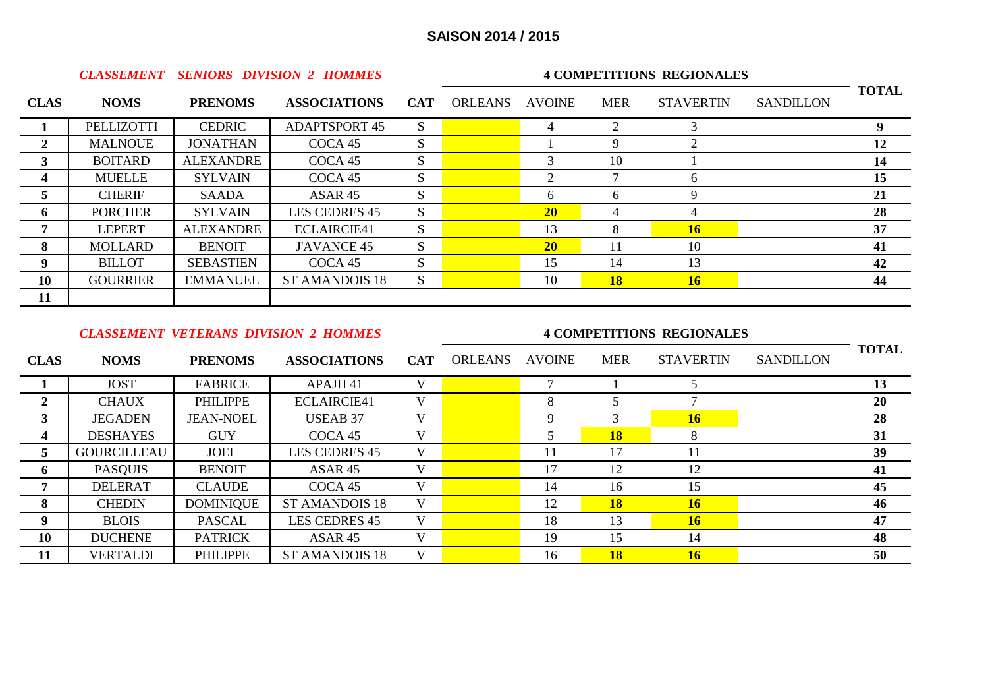|                |                 |                  | <b>CLASSEMENT SENIORS DIVISION 2 HOMMES</b> |            | <b>4 COMPETITIONS REGIONALES</b> |               |            |                  |                  |              |  |  |
|----------------|-----------------|------------------|---------------------------------------------|------------|----------------------------------|---------------|------------|------------------|------------------|--------------|--|--|
| <b>CLAS</b>    | <b>NOMS</b>     | <b>PRENOMS</b>   | <b>ASSOCIATIONS</b>                         | <b>CAT</b> | <b>ORLEANS</b>                   | <b>AVOINE</b> | <b>MER</b> | <b>STAVERTIN</b> | <b>SANDILLON</b> | <b>TOTAL</b> |  |  |
|                | PELLIZOTTI      | <b>CEDRIC</b>    | <b>ADAPTSPORT 45</b>                        | S          |                                  | 4             |            |                  |                  | 9            |  |  |
| 2              | <b>MALNOUE</b>  | <b>JONATHAN</b>  | COCA 45                                     | S          |                                  |               | 9          |                  |                  | 12           |  |  |
| $\overline{3}$ | <b>BOITARD</b>  | ALEXANDRE        | COCA 45                                     | S          |                                  | 3             | 10         |                  |                  | 14           |  |  |
| 4              | <b>MUELLE</b>   | <b>SYLVAIN</b>   | COCA <sub>45</sub>                          | S          |                                  | 2             |            | 6                |                  | 15           |  |  |
| $\overline{5}$ | <b>CHERIF</b>   | SAADA            | ASAR 45                                     | S          |                                  | 6             | 6          | 9                |                  | 21           |  |  |
| 6              | <b>PORCHER</b>  | <b>SYLVAIN</b>   | <b>LES CEDRES 45</b>                        | S.         |                                  | 20            |            |                  |                  | 28           |  |  |
| 7              | <b>LEPERT</b>   | ALEXANDRE        | ECLAIRCIE41                                 | S.         |                                  | 13            | 8          | 16 <sup>2</sup>  |                  | 37           |  |  |
| 8              | <b>MOLLARD</b>  | <b>BENOIT</b>    | <b>J'AVANCE 45</b>                          | S.         |                                  | <b>20</b>     | 11         | 10               |                  | 41           |  |  |
| 9              | <b>BILLOT</b>   | <b>SEBASTIEN</b> | COCA 45                                     | S          |                                  | 15            | 14         | 13               |                  | 42           |  |  |
| 10             | <b>GOURRIER</b> | <b>EMMANUEL</b>  | <b>ST AMANDOIS 18</b>                       | S          |                                  | 10            | 18         | 16               |                  | 44           |  |  |
| 11             |                 |                  |                                             |            |                                  |               |            |                  |                  |              |  |  |

#### *CLASSEMENT VETERANS DIVISION 2 HOMMES* **4 COMPETITIONS REGIONALES**

| <b>CLAS</b> | <b>NOMS</b>        | <b>PRENOMS</b>   | <b>ASSOCIATIONS</b>   | <b>CAT</b> | <b>ORLEANS</b> | <b>AVOINE</b>   | <b>MER</b> | <b>STAVERTIN</b> | <b>SANDILLON</b> | <b>TOTAL</b> |
|-------------|--------------------|------------------|-----------------------|------------|----------------|-----------------|------------|------------------|------------------|--------------|
|             | <b>JOST</b>        | <b>FABRICE</b>   | APAJH 41              | V          |                | $\mathbf{\tau}$ |            |                  |                  | 13           |
| 2           | <b>CHAUX</b>       | <b>PHILIPPE</b>  | <b>ECLAIRCIE41</b>    | V          |                | 8               |            |                  |                  | 20           |
| 3           | <b>JEGADEN</b>     | <b>JEAN-NOEL</b> | <b>USEAB 37</b>       | V          |                | 9               |            | <b>16</b>        |                  | 28           |
| 4           | <b>DESHAYES</b>    | <b>GUY</b>       | COCA 45               | V          |                |                 | <b>18</b>  | 8                |                  | 31           |
| 5           | <b>GOURCILLEAU</b> | <b>JOEL</b>      | <b>LES CEDRES 45</b>  | V          |                | 11              | 17         | 11               |                  | 39           |
| 6           | <b>PASQUIS</b>     | <b>BENOIT</b>    | ASAR <sub>45</sub>    | V          |                | 17              | 12         | 12               |                  | 41           |
| 7           | <b>DELERAT</b>     | <b>CLAUDE</b>    | COCA 45               | V          |                | 14              | 16         | 15               |                  | 45           |
| 8           | <b>CHEDIN</b>      | <b>DOMINIQUE</b> | <b>ST AMANDOIS 18</b> | V          |                | 12              | <b>18</b>  | <b>16</b>        |                  | 46           |
| 9           | <b>BLOIS</b>       | <b>PASCAL</b>    | <b>LES CEDRES 45</b>  | V          |                | 18              | 13         | <b>16</b>        |                  | 47           |
| 10          | <b>DUCHENE</b>     | <b>PATRICK</b>   | ASAR 45               | V          |                | 19              | 15         | 14               |                  | 48           |
| 11          | <b>VERTALDI</b>    | <b>PHILIPPE</b>  | <b>ST AMANDOIS 18</b> | V          |                | 16              | <b>18</b>  | 16               |                  | 50           |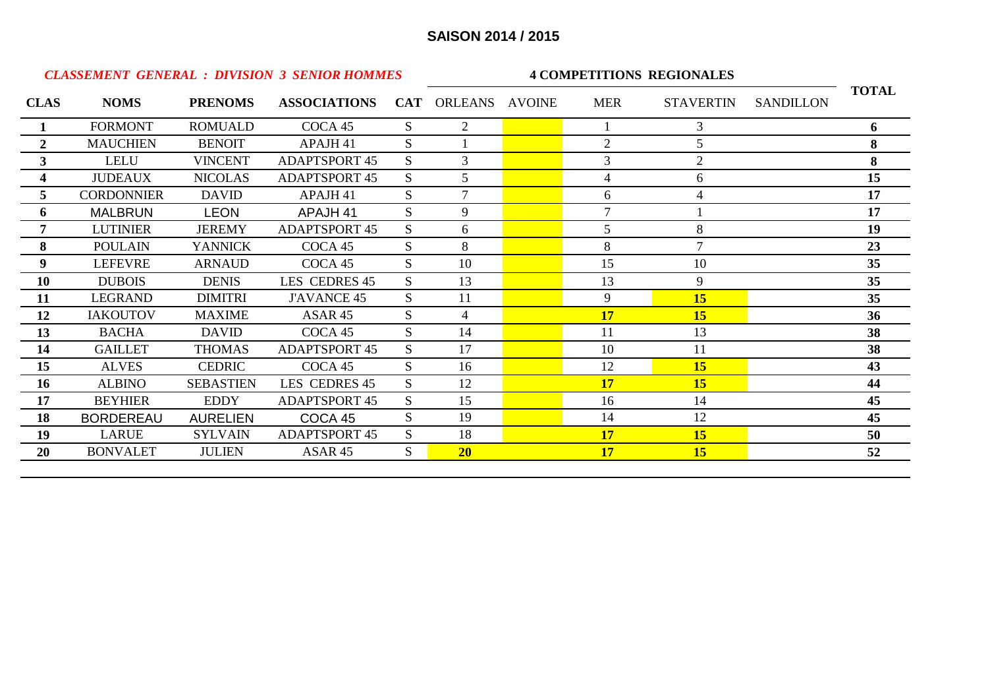|                  |                   |                  | <b>CLASSEMENT GENERAL : DIVISION 3 SENIOR HOMMES</b> |              | <b>4 COMPETITIONS REGIONALES</b> |  |                |                  |                  |              |  |  |
|------------------|-------------------|------------------|------------------------------------------------------|--------------|----------------------------------|--|----------------|------------------|------------------|--------------|--|--|
| <b>CLAS</b>      | <b>NOMS</b>       | <b>PRENOMS</b>   | <b>ASSOCIATIONS</b>                                  |              | CAT ORLEANS AVOINE               |  | <b>MER</b>     | <b>STAVERTIN</b> | <b>SANDILLON</b> | <b>TOTAL</b> |  |  |
|                  | <b>FORMONT</b>    | <b>ROMUALD</b>   | COCA 45                                              | S            | $\overline{2}$                   |  |                | 3                |                  | 6            |  |  |
| $\boldsymbol{2}$ | <b>MAUCHIEN</b>   | <b>BENOIT</b>    | APAJH 41                                             | S            |                                  |  | $\overline{2}$ | 5                |                  | 8            |  |  |
| 3 <sup>1</sup>   | LELU              | <b>VINCENT</b>   | <b>ADAPTSPORT 45</b>                                 | S            | 3                                |  | 3              | $\overline{2}$   |                  | 8            |  |  |
| 4                | <b>JUDEAUX</b>    | <b>NICOLAS</b>   | <b>ADAPTSPORT 45</b>                                 | <sub>S</sub> | 5                                |  | 4              | 6                |                  | 15           |  |  |
| 5                | <b>CORDONNIER</b> | <b>DAVID</b>     | APAJH 41                                             | S            |                                  |  | 6              |                  |                  | 17           |  |  |
| 6                | <b>MALBRUN</b>    | <b>LEON</b>      | APAJH 41                                             | S            | 9                                |  | 7              |                  |                  | 17           |  |  |
| 7                | <b>LUTINIER</b>   | <b>JEREMY</b>    | <b>ADAPTSPORT 45</b>                                 | S            | 6                                |  | 5              | 8                |                  | 19           |  |  |
| 8                | <b>POULAIN</b>    | <b>YANNICK</b>   | COCA 45                                              | S            | 8                                |  | 8              | $\tau$           |                  | 23           |  |  |
| 9                | <b>LEFEVRE</b>    | <b>ARNAUD</b>    | COCA 45                                              | S            | 10                               |  | 15             | 10               |                  | 35           |  |  |
| 10               | <b>DUBOIS</b>     | <b>DENIS</b>     | LES CEDRES 45                                        | S            | 13                               |  | 13             | 9                |                  | 35           |  |  |
| 11               | <b>LEGRAND</b>    | <b>DIMITRI</b>   | <b>J'AVANCE 45</b>                                   | S            | 11                               |  | 9              | 15               |                  | 35           |  |  |
| 12               | <b>IAKOUTOV</b>   | <b>MAXIME</b>    | ASAR 45                                              | S            | $\overline{4}$                   |  | 17             | 15               |                  | 36           |  |  |
| 13               | <b>BACHA</b>      | <b>DAVID</b>     | COCA 45                                              | S            | 14                               |  | 11             | 13               |                  | 38           |  |  |
| 14               | <b>GAILLET</b>    | <b>THOMAS</b>    | <b>ADAPTSPORT 45</b>                                 | S            | 17                               |  | 10             | 11               |                  | 38           |  |  |
| 15               | <b>ALVES</b>      | <b>CEDRIC</b>    | COCA 45                                              | S            | 16                               |  | 12             | 15               |                  | 43           |  |  |
| 16               | <b>ALBINO</b>     | <b>SEBASTIEN</b> | LES CEDRES 45                                        | S            | 12                               |  | 17             | 15               |                  | 44           |  |  |
| 17               | <b>BEYHIER</b>    | <b>EDDY</b>      | <b>ADAPTSPORT 45</b>                                 | S            | 15                               |  | 16             | 14               |                  | 45           |  |  |
| 18               | <b>BORDEREAU</b>  | <b>AURELIEN</b>  | COCA 45                                              | S            | 19                               |  | 14             | 12               |                  | 45           |  |  |
| 19               | <b>LARUE</b>      | <b>SYLVAIN</b>   | <b>ADAPTSPORT 45</b>                                 | S            | 18                               |  | <b>17</b>      | 15               |                  | 50           |  |  |
| 20               | <b>BONVALET</b>   | <b>JULIEN</b>    | ASAR 45                                              | S            | 20 <sup>°</sup>                  |  | 17             | 15               |                  | 52           |  |  |
|                  |                   |                  |                                                      |              |                                  |  |                |                  |                  |              |  |  |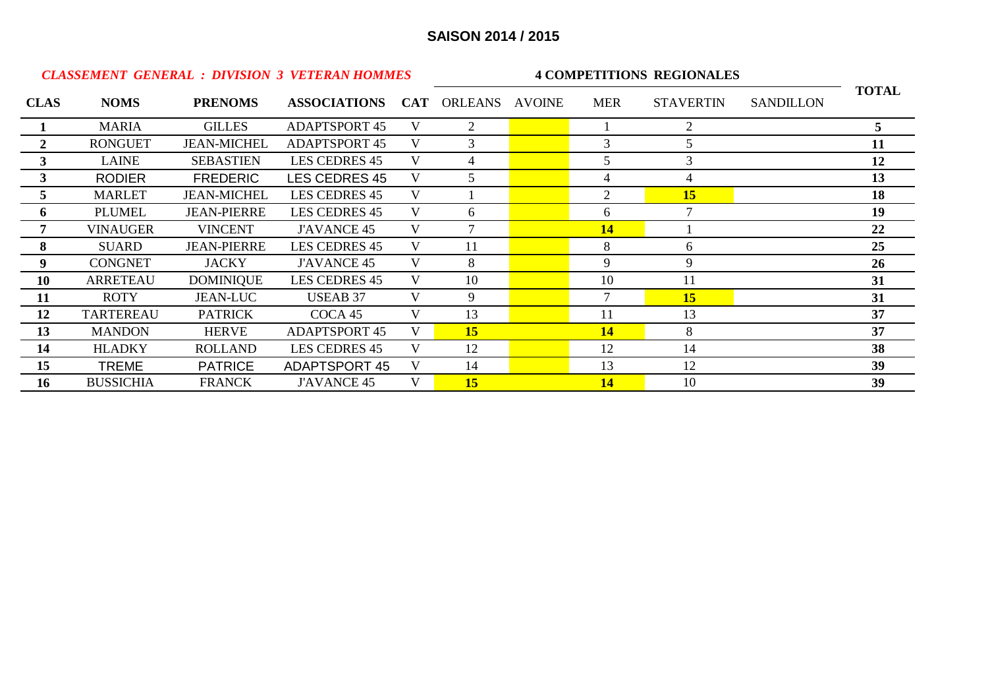| <b>CLASSEMENT GENERAL : DIVISION 3 VETERAN HOMMES</b> |                  |                    |                                 |   |                | <b>4 COMPETITIONS REGIONALES</b> |                  |                  |              |
|-------------------------------------------------------|------------------|--------------------|---------------------------------|---|----------------|----------------------------------|------------------|------------------|--------------|
| <b>CLAS</b>                                           | <b>NOMS</b>      | <b>PRENOMS</b>     | ASSOCIATIONS CAT ORLEANS AVOINE |   |                | <b>MER</b>                       | <b>STAVERTIN</b> | <b>SANDILLON</b> | <b>TOTAL</b> |
|                                                       | <b>MARIA</b>     | <b>GILLES</b>      | <b>ADAPTSPORT 45</b>            | V | 2              |                                  | $\overline{2}$   |                  | 5            |
| $\mathbf{2}^{\prime}$                                 | <b>RONGUET</b>   | <b>JEAN-MICHEL</b> | <b>ADAPTSPORT 45</b>            |   | 3              | 3                                | 5                |                  | 11           |
| $3^{\circ}$                                           | <b>LAINE</b>     | <b>SEBASTIEN</b>   | LES CEDRES 45                   |   | 4              | 5.                               | 3                |                  | 12           |
| 3 <sup>1</sup>                                        | <b>RODIER</b>    | <b>FREDERIC</b>    | <b>LES CEDRES 45</b>            |   | 5              | 4                                | 4                |                  | 13           |
| 5.                                                    | <b>MARLET</b>    | <b>JEAN-MICHEL</b> | LES CEDRES 45                   | V |                | $\overline{2}$                   | 15               |                  | 18           |
| 6                                                     | <b>PLUMEL</b>    | <b>JEAN-PIERRE</b> | <b>LES CEDRES 45</b>            | V | 6              | 6                                |                  |                  | 19           |
|                                                       | <b>VINAUGER</b>  | <b>VINCENT</b>     | <b>J'AVANCE 45</b>              | V | $\overline{7}$ | 14                               |                  |                  | 22           |
| 8                                                     | <b>SUARD</b>     | <b>JEAN-PIERRE</b> | <b>LES CEDRES 45</b>            | V | 11             | 8                                | 6                |                  | 25           |
| 9                                                     | <b>CONGNET</b>   | <b>JACKY</b>       | <b>J'AVANCE 45</b>              | V | 8              | 9                                | 9                |                  | 26           |
| 10                                                    | <b>ARRETEAU</b>  | <b>DOMINIQUE</b>   | <b>LES CEDRES 45</b>            | V | 10             | 10                               | 11               |                  | 31           |
| 11                                                    | <b>ROTY</b>      | <b>JEAN-LUC</b>    | <b>USEAB 37</b>                 | V | 9              | $\tau$                           | 15               |                  | 31           |
| 12                                                    | <b>TARTEREAU</b> | <b>PATRICK</b>     | COCA 45                         | V | 13             | 11                               | 13               |                  | 37           |
| 13                                                    | <b>MANDON</b>    | <b>HERVE</b>       | <b>ADAPTSPORT 45</b>            | V | 15             | 14                               | 8                |                  | 37           |
| 14                                                    | <b>HLADKY</b>    | ROLLAND            | <b>LES CEDRES 45</b>            |   | 12             | 12                               | 14               |                  | 38           |
| 15                                                    | <b>TREME</b>     | <b>PATRICE</b>     | <b>ADAPTSPORT 45</b>            |   | 14             | 13                               | 12               |                  | 39           |
| 16                                                    | <b>BUSSICHIA</b> | <b>FRANCK</b>      | <b>J'AVANCE 45</b>              | V | 15             | <b>14</b>                        | 10               |                  | 39           |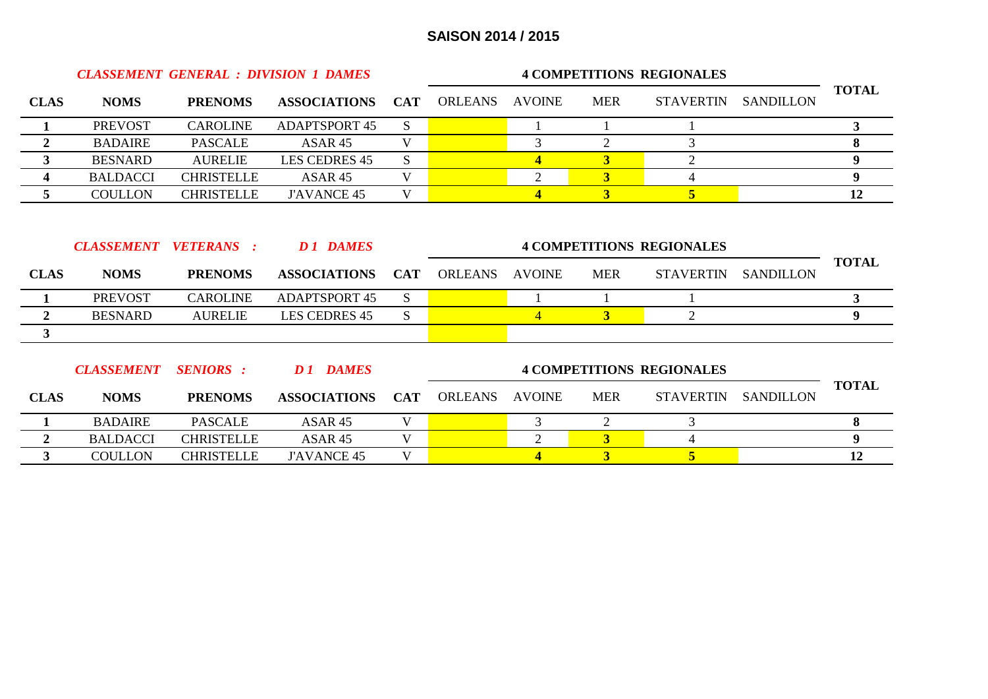|                         | <b>CLASSEMENT GENERAL : DIVISION 1 DAMES</b> |                   | <b>4 COMPETITIONS REGIONALES</b> |            |                |                         |                         |                                  |                  |                  |
|-------------------------|----------------------------------------------|-------------------|----------------------------------|------------|----------------|-------------------------|-------------------------|----------------------------------|------------------|------------------|
| <b>CLAS</b>             | <b>NOMS</b>                                  | <b>PRENOMS</b>    | <b>ASSOCIATIONS</b>              | <b>CAT</b> | <b>ORLEANS</b> | <b>AVOINE</b>           | <b>MER</b>              | <b>STAVERTIN</b>                 | <b>SANDILLON</b> | <b>TOTAL</b>     |
| 1                       | <b>PREVOST</b>                               | <b>CAROLINE</b>   | <b>ADAPTSPORT 45</b>             | S          |                |                         | 1                       |                                  |                  | $\mathbf{3}$     |
| $\overline{2}$          | <b>BADAIRE</b>                               | <b>PASCALE</b>    | ASAR 45                          | V          |                | 3                       | $\overline{2}$          | 3                                |                  | 8                |
| $\mathbf{3}$            | <b>BESNARD</b>                               | <b>AURELIE</b>    | LES CEDRES 45                    | S          |                | $\overline{\mathbf{4}}$ | $\overline{\mathbf{3}}$ | $\overline{2}$                   |                  | 9 <sup>°</sup>   |
| $\boldsymbol{4}$        | <b>BALDACCI</b>                              | <b>CHRISTELLE</b> | ASAR 45                          | V          |                | $\overline{2}$          | $\overline{\mathbf{3}}$ | 4                                |                  | 9                |
| 5                       | <b>COULLON</b>                               | <b>CHRISTELLE</b> | <b>J'AVANCE 45</b>               | V          |                | $\overline{\mathbf{4}}$ | $\overline{\mathbf{3}}$ | $\overline{5}$                   |                  | 12               |
|                         |                                              |                   |                                  |            |                |                         |                         |                                  |                  |                  |
|                         | <b>CLASSEMENT</b>                            | <b>VETERANS:</b>  | <b>D1 DAMES</b>                  |            |                |                         |                         | <b>4 COMPETITIONS REGIONALES</b> |                  |                  |
| <b>CLAS</b>             | <b>NOMS</b>                                  | <b>PRENOMS</b>    | <b>ASSOCIATIONS</b>              | <b>CAT</b> | <b>ORLEANS</b> | <b>AVOINE</b>           | <b>MER</b>              | <b>STAVERTIN</b>                 | <b>SANDILLON</b> | <b>TOTAL</b>     |
|                         | <b>PREVOST</b>                               | <b>CAROLINE</b>   | <b>ADAPTSPORT 45</b>             | S.         |                |                         | 1                       |                                  |                  | $\mathbf{3}$     |
| $\overline{2}$          | <b>BESNARD</b>                               | <b>AURELIE</b>    | <b>LES CEDRES 45</b>             | S.         |                | $\overline{4}$          | $\overline{3}$          | $\overline{2}$                   |                  | $\boldsymbol{9}$ |
| $\mathbf{3}$            |                                              |                   |                                  |            |                |                         |                         |                                  |                  |                  |
|                         | <b>CLASSEMENT</b>                            | <b>SENIORS</b> :  | <b>D1</b> DAMES                  |            |                |                         |                         | <b>4 COMPETITIONS REGIONALES</b> |                  | <b>TOTAL</b>     |
| <b>CLAS</b>             | <b>NOMS</b>                                  | <b>PRENOMS</b>    | <b>ASSOCIATIONS</b>              | <b>CAT</b> | <b>ORLEANS</b> | <b>AVOINE</b>           | <b>MER</b>              | <b>STAVERTIN</b>                 | <b>SANDILLON</b> |                  |
| 1                       | <b>BADAIRE</b>                               | <b>PASCALE</b>    | ASAR 45                          | V          |                | 3                       | $\overline{2}$          | 3                                |                  | 8                |
| $\boldsymbol{2}$        | <b>BALDACCI</b>                              | <b>CHRISTELLE</b> | ASAR 45                          | V          |                | $\overline{2}$          | 3 <sup>1</sup>          | $\overline{4}$                   |                  | 9                |
| $\overline{\mathbf{3}}$ | <b>COULLON</b>                               | <b>CHRISTELLE</b> | <b>J'AVANCE 45</b>               | V          |                | $\overline{\mathbf{4}}$ | 3                       | 5                                |                  | 12               |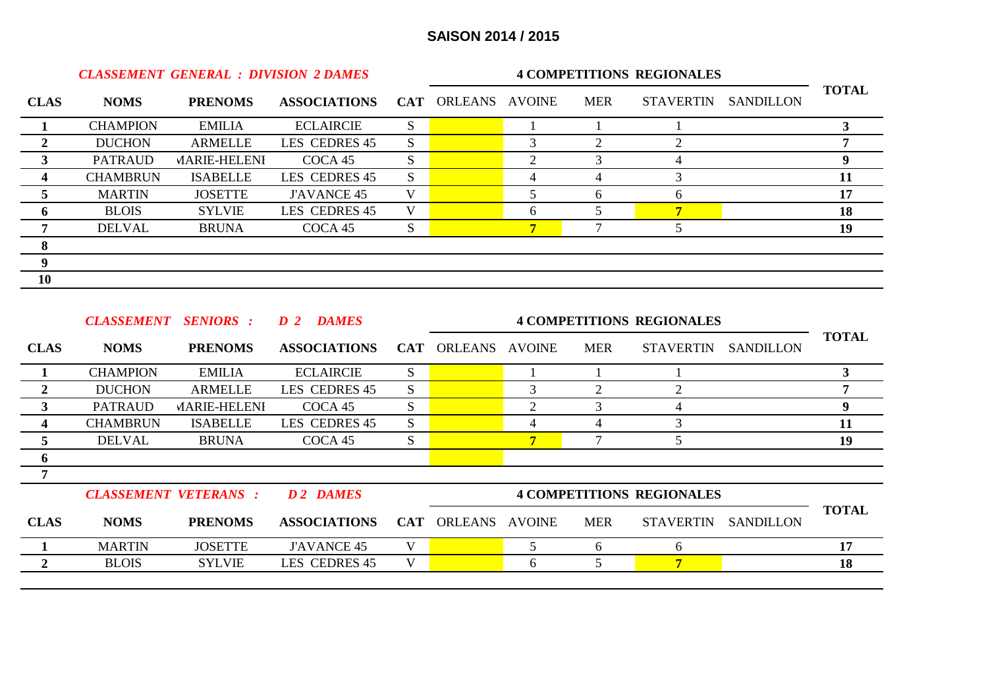|             |                 | <b>CLASSEMENT GENERAL : DIVISION 2 DAMES</b> |                     |              |                    | <b>4 COMPETITIONS REGIONALES</b> |            |                  |                  |              |
|-------------|-----------------|----------------------------------------------|---------------------|--------------|--------------------|----------------------------------|------------|------------------|------------------|--------------|
| <b>CLAS</b> | <b>NOMS</b>     | <b>PRENOMS</b>                               | <b>ASSOCIATIONS</b> |              | CAT ORLEANS AVOINE |                                  | <b>MER</b> | <b>STAVERTIN</b> | <b>SANDILLON</b> | <b>TOTAL</b> |
|             | <b>CHAMPION</b> | <b>EMILIA</b>                                | <b>ECLAIRCIE</b>    | S.           |                    |                                  |            |                  |                  |              |
|             | <b>DUCHON</b>   | <b>ARMELLE</b>                               | LES CEDRES 45       | S.           |                    | 3                                |            |                  |                  |              |
| 3           | PATRAUD         | <b>MARIE-HELENI</b>                          | COCA 45             | <sub>S</sub> |                    |                                  |            |                  |                  |              |
| 4           | <b>CHAMBRUN</b> | <b>ISABELLE</b>                              | LES CEDRES 45       | <sub>S</sub> |                    |                                  |            |                  |                  | 11           |
|             | <b>MARTIN</b>   | <b>JOSETTE</b>                               | <b>J'AVANCE 45</b>  |              |                    |                                  |            |                  |                  | 17           |
| 6           | <b>BLOIS</b>    | <b>SYLVIE</b>                                | LES CEDRES 45       |              |                    | 6                                |            |                  |                  | 18           |
|             | <b>DELVAL</b>   | <b>BRUNA</b>                                 | COCA 45             | S            |                    | $\overline{\tau}$                |            |                  |                  | 19           |
| 8           |                 |                                              |                     |              |                    |                                  |            |                  |                  |              |
| 9           |                 |                                              |                     |              |                    |                                  |            |                  |                  |              |
| 10          |                 |                                              |                     |              |                    |                                  |            |                  |                  |              |

|             | <b>CLASSEMENT</b> | <b>SENIORS</b> :            | <b>DAMES</b><br>D <sub>2</sub> |            | <b>4 COMPETITIONS REGIONALES</b> |   |            |                                  |                  |              |
|-------------|-------------------|-----------------------------|--------------------------------|------------|----------------------------------|---|------------|----------------------------------|------------------|--------------|
| <b>CLAS</b> | <b>NOMS</b>       | <b>PRENOMS</b>              | <b>ASSOCIATIONS</b>            |            | CAT ORLEANS AVOINE               |   | <b>MER</b> | <b>STAVERTIN</b>                 | <b>SANDILLON</b> | <b>TOTAL</b> |
|             | <b>CHAMPION</b>   | <b>EMILIA</b>               | <b>ECLAIRCIE</b>               | S.         |                                  |   |            |                                  |                  | 3            |
| 2           | <b>DUCHON</b>     | <b>ARMELLE</b>              | LES CEDRES 45                  | S          |                                  | 3 | 2          |                                  |                  |              |
| 3           | <b>PATRAUD</b>    | <b>MARIE-HELENI</b>         | COCA 45                        | S.         |                                  | 2 | 3          |                                  |                  | 9            |
| 4           | <b>CHAMBRUN</b>   | <b>ISABELLE</b>             | LES CEDRES 45                  | S.         |                                  | 4 | 4          |                                  |                  | 11           |
| 5.          | <b>DELVAL</b>     | <b>BRUNA</b>                | COCA <sub>45</sub>             | S          |                                  | 7 |            | 5.                               |                  | 19           |
| 6           |                   |                             |                                |            |                                  |   |            |                                  |                  |              |
| 7           |                   |                             |                                |            |                                  |   |            |                                  |                  |              |
|             |                   | <b>CLASSEMENT VETERANS:</b> | D 2 DAMES                      |            |                                  |   |            | <b>4 COMPETITIONS REGIONALES</b> |                  |              |
| <b>CLAS</b> | <b>NOMS</b>       | <b>PRENOMS</b>              | <b>ASSOCIATIONS</b>            | <b>CAT</b> | ORLEANS AVOINE                   |   | <b>MER</b> | <b>STAVERTIN</b>                 | <b>SANDILLON</b> | <b>TOTAL</b> |
|             | <b>MARTIN</b>     | <b>JOSETTE</b>              | <b>J'AVANCE 45</b>             | V          |                                  | 5 | 6          | 6                                |                  | 17           |
| 2           | <b>BLOIS</b>      | <b>SYLVIE</b>               | LES CEDRES 45                  | V          |                                  | 6 | 5          | 7                                |                  | 18           |
|             |                   |                             |                                |            |                                  |   |            |                                  |                  |              |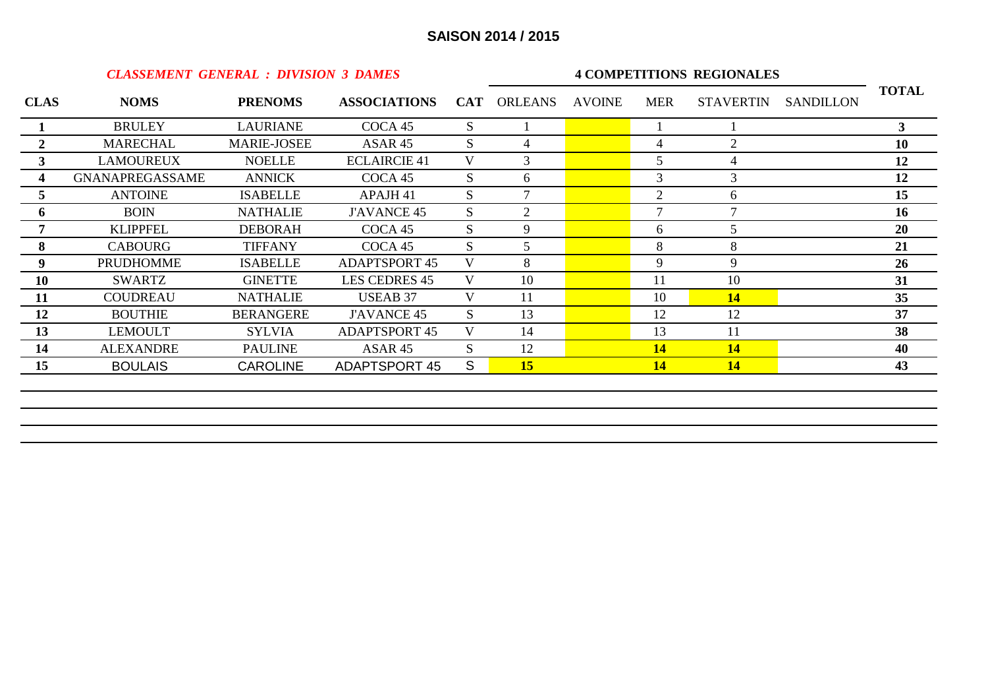*CLASSEMENT GENERAL : DIVISION 3 DAMES*

#### **4 COMPETITIONS REGIONALES**

| <b>CLAS</b>  | <b>NOMS</b>            | <b>PRENOMS</b>     | <b>ASSOCIATIONS</b>  |              | <b>CAT ORLEANS</b> | <b>AVOINE</b> | <b>MER</b>     | <b>STAVERTIN</b> | <b>SANDILLON</b> | <b>TOTAL</b>   |
|--------------|------------------------|--------------------|----------------------|--------------|--------------------|---------------|----------------|------------------|------------------|----------------|
|              | <b>BRULEY</b>          | <b>LAURIANE</b>    | COCA 45              | S.           |                    |               |                |                  |                  | 3 <sup>1</sup> |
| $\mathbf{2}$ | <b>MARECHAL</b>        | <b>MARIE-JOSEE</b> | ASAR 45              | <sub>S</sub> | 4                  |               | 4              | $\overline{2}$   |                  | 10             |
| 3            | <b>LAMOUREUX</b>       | <b>NOELLE</b>      | <b>ECLAIRCIE 41</b>  | V            | 3                  |               | 5              | 4                |                  | 12             |
| 4            | <b>GNANAPREGASSAME</b> | <b>ANNICK</b>      | COCA 45              | S            | 6                  |               | 3              | 3                |                  | 12             |
| 5            | <b>ANTOINE</b>         | <b>ISABELLE</b>    | APAJH 41             | S.           |                    |               | $\overline{2}$ | 6                |                  | 15             |
| 6            | <b>BOIN</b>            | <b>NATHALIE</b>    | <b>J'AVANCE 45</b>   | S.           | $\overline{2}$     |               | 7              | 7                |                  | <b>16</b>      |
|              | <b>KLIPPFEL</b>        | <b>DEBORAH</b>     | COCA <sub>45</sub>   | S            | 9                  |               | 6              |                  |                  | 20             |
| 8            | <b>CABOURG</b>         | <b>TIFFANY</b>     | COCA 45              | S            | 5                  |               | 8              | 8                |                  | 21             |
| 9            | <b>PRUDHOMME</b>       | <b>ISABELLE</b>    | <b>ADAPTSPORT 45</b> | V            | 8                  |               | 9              | 9                |                  | 26             |
| <b>10</b>    | <b>SWARTZ</b>          | <b>GINETTE</b>     | LES CEDRES 45        | V            | 10                 |               | 11             | 10               |                  | 31             |
| 11           | <b>COUDREAU</b>        | <b>NATHALIE</b>    | <b>USEAB 37</b>      | V            | 11                 |               | 10             | 14               |                  | 35             |
| 12           | <b>BOUTHIE</b>         | <b>BERANGERE</b>   | <b>J'AVANCE 45</b>   | S            | 13                 |               | 12             | 12               |                  | 37             |
| 13           | <b>LEMOULT</b>         | <b>SYLVIA</b>      | <b>ADAPTSPORT 45</b> | V            | 14                 |               | 13             | 11               |                  | 38             |
| 14           | <b>ALEXANDRE</b>       | <b>PAULINE</b>     | ASAR <sub>45</sub>   | S            | 12                 |               | <b>14</b>      | <b>14</b>        |                  | 40             |
| 15           | <b>BOULAIS</b>         | <b>CAROLINE</b>    | <b>ADAPTSPORT 45</b> | S            | 15                 |               | 14             | <b>14</b>        |                  | 43             |
|              |                        |                    |                      |              |                    |               |                |                  |                  |                |